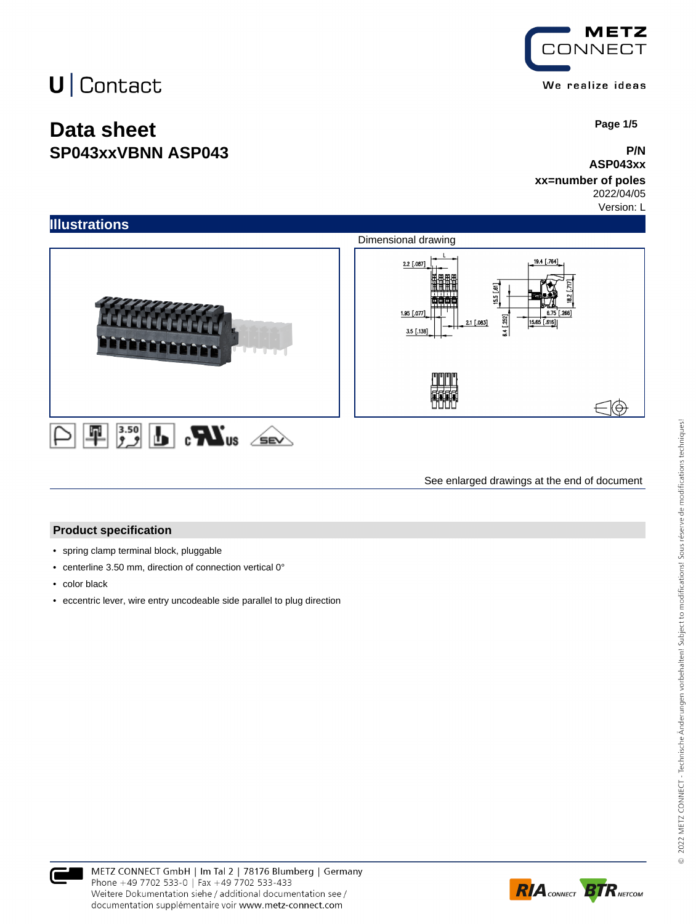## **Data sheet SP043xxVBNN ASP043**



 **Page 1/5**

#### **P/N ASP043xx**

#### **xx=number of poles** 2022/04/05

Version: L



See enlarged drawings at the end of document

#### **Product specification**

- spring clamp terminal block, pluggable
- centerline 3.50 mm, direction of connection vertical 0°
- color black
- eccentric lever, wire entry uncodeable side parallel to plug direction



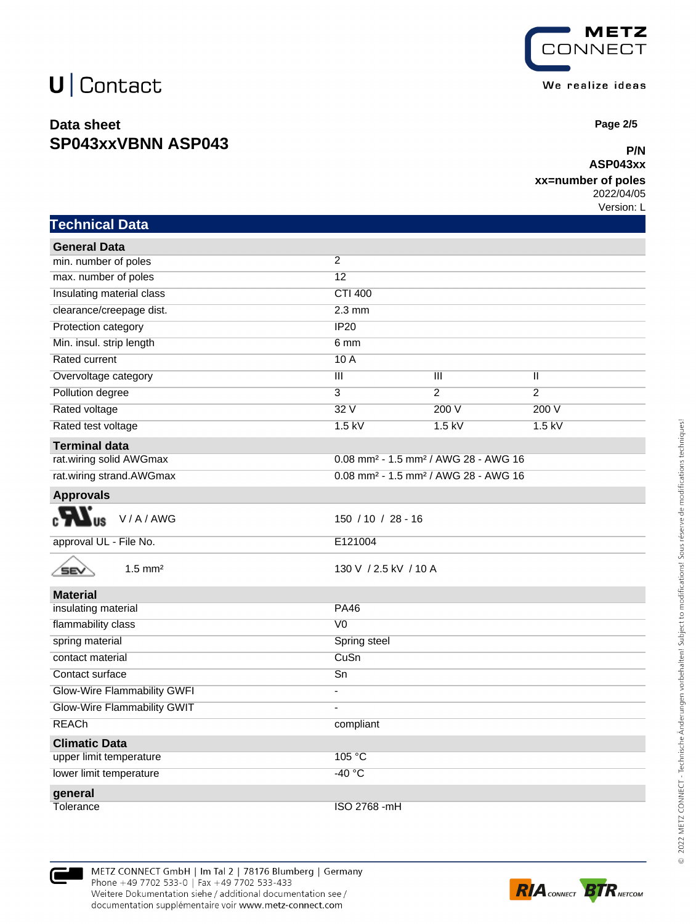## **Data sheet SP043xxVBNN ASP043**



 **Page 2/5**

### **P/N ASP043xx**

### **xx=number of poles**

2022/04/05 Version: L

| <b>Technical Data</b>              |                                                              |                |                |  |
|------------------------------------|--------------------------------------------------------------|----------------|----------------|--|
| <b>General Data</b>                |                                                              |                |                |  |
| min. number of poles               | 2                                                            |                |                |  |
| max. number of poles               | 12                                                           |                |                |  |
| Insulating material class          | <b>CTI 400</b>                                               |                |                |  |
| clearance/creepage dist.           | $2.3 \text{ mm}$                                             |                |                |  |
| Protection category                | IP20                                                         |                |                |  |
| Min. insul. strip length           | 6 mm                                                         |                |                |  |
| Rated current                      | 10A                                                          |                |                |  |
| Overvoltage category               | $\overline{\mathsf{III}}$                                    | Ш              | Ш              |  |
| Pollution degree                   | $\overline{3}$                                               | $\overline{2}$ | $\overline{2}$ |  |
| Rated voltage                      | 32V                                                          | 200 V          | 200 V          |  |
| Rated test voltage                 | $1.5$ kV                                                     | $1.5$ kV       | $1.5$ kV       |  |
| <b>Terminal data</b>               |                                                              |                |                |  |
| rat.wiring solid AWGmax            | 0.08 mm <sup>2</sup> - 1.5 mm <sup>2</sup> / AWG 28 - AWG 16 |                |                |  |
| rat.wiring strand.AWGmax           | 0.08 mm <sup>2</sup> - 1.5 mm <sup>2</sup> / AWG 28 - AWG 16 |                |                |  |
| <b>Approvals</b>                   |                                                              |                |                |  |
| V/A/AWG                            | $150 / 10 / 28 - 16$                                         |                |                |  |
| approval UL - File No.             | E121004                                                      |                |                |  |
| $1.5$ mm <sup>2</sup><br>SEV       | 130 V / 2.5 kV / 10 A                                        |                |                |  |
| <b>Material</b>                    |                                                              |                |                |  |
| insulating material                | <b>PA46</b>                                                  |                |                |  |
| flammability class                 | V <sub>0</sub>                                               |                |                |  |
| spring material                    | Spring steel                                                 |                |                |  |
| contact material                   | CuSn                                                         |                |                |  |
| Contact surface                    | $\overline{Sn}$                                              |                |                |  |
| <b>Glow-Wire Flammability GWFI</b> | ä,                                                           |                |                |  |
| Glow-Wire Flammability GWIT        | $\overline{\phantom{a}}$                                     |                |                |  |
| <b>REACh</b>                       | compliant                                                    |                |                |  |
| <b>Climatic Data</b>               |                                                              |                |                |  |
| upper limit temperature            | 105 °C                                                       |                |                |  |
| lower limit temperature            | $-40 °C$                                                     |                |                |  |
| general                            |                                                              |                |                |  |
| Tolerance                          | ISO 2768 -mH                                                 |                |                |  |



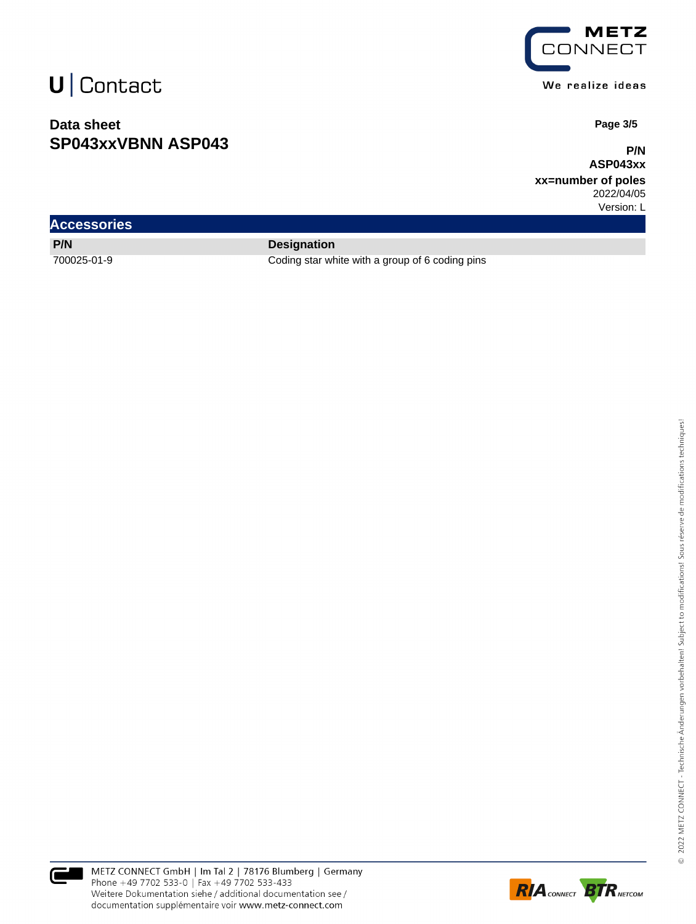## **Data sheet SP043xxVBNN ASP043**



We realize ideas

 **Page 3/5**

**P/N ASP043xx**

**xx=number of poles** 2022/04/05

Version: L

| <b>Accessories</b> |                    |
|--------------------|--------------------|
| P/N                | <b>Designation</b> |

700025-01-9 Coding star white with a group of 6 coding pins



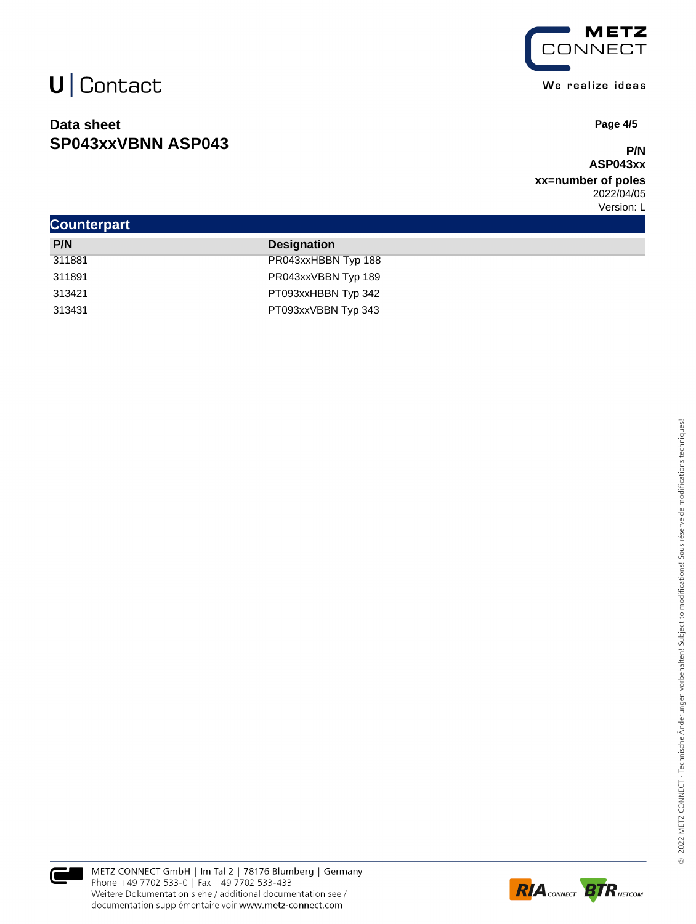## **Data sheet SP043xxVBNN ASP043**



We realize ideas

 **Page 4/5**

#### **P/N ASP043xx**

**xx=number of poles** 2022/04/05 Version: L

| <b>Counterpart</b> |                     |  |
|--------------------|---------------------|--|
| P/N                | <b>Designation</b>  |  |
| 311881             | PR043xxHBBN Typ 188 |  |
| 311891             | PR043xxVBBN Typ 189 |  |
| 313421             | PT093xxHBBN Typ 342 |  |
| 313431             | PT093xxVBBN Typ 343 |  |